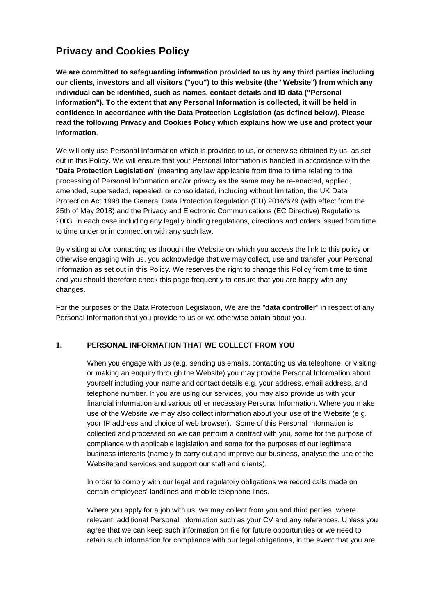# **Privacy and Cookies Policy**

**We are committed to safeguarding information provided to us by any third parties including our clients, investors and all visitors ("you") to this website (the "Website") from which any individual can be identified, such as names, contact details and ID data ("Personal Information"). To the extent that any Personal Information is collected, it will be held in confidence in accordance with the Data Protection Legislation (as defined below). Please read the following Privacy and Cookies Policy which explains how we use and protect your information**.

We will only use Personal Information which is provided to us, or otherwise obtained by us, as set out in this Policy. We will ensure that your Personal Information is handled in accordance with the "**Data Protection Legislation**" (meaning any law applicable from time to time relating to the processing of Personal Information and/or privacy as the same may be re-enacted, applied, amended, superseded, repealed, or consolidated, including without limitation, the UK Data Protection Act 1998 the General Data Protection Regulation (EU) 2016/679 (with effect from the 25th of May 2018) and the Privacy and Electronic Communications (EC Directive) Regulations 2003, in each case including any legally binding regulations, directions and orders issued from time to time under or in connection with any such law.

By visiting and/or contacting us through the Website on which you access the link to this policy or otherwise engaging with us, you acknowledge that we may collect, use and transfer your Personal Information as set out in this Policy. We reserves the right to change this Policy from time to time and you should therefore check this page frequently to ensure that you are happy with any changes.

For the purposes of the Data Protection Legislation, We are the "**data controller**" in respect of any Personal Information that you provide to us or we otherwise obtain about you.

# **1. PERSONAL INFORMATION THAT WE COLLECT FROM YOU**

When you engage with us (e.g. sending us emails, contacting us via telephone, or visiting or making an enquiry through the Website) you may provide Personal Information about yourself including your name and contact details e.g. your address, email address, and telephone number. If you are using our services, you may also provide us with your financial information and various other necessary Personal Information. Where you make use of the Website we may also collect information about your use of the Website (e.g. your IP address and choice of web browser). Some of this Personal Information is collected and processed so we can perform a contract with you, some for the purpose of compliance with applicable legislation and some for the purposes of our legitimate business interests (namely to carry out and improve our business, analyse the use of the Website and services and support our staff and clients).

In order to comply with our legal and regulatory obligations we record calls made on certain employees' landlines and mobile telephone lines.

Where you apply for a job with us, we may collect from you and third parties, where relevant, additional Personal Information such as your CV and any references. Unless you agree that we can keep such information on file for future opportunities or we need to retain such information for compliance with our legal obligations, in the event that you are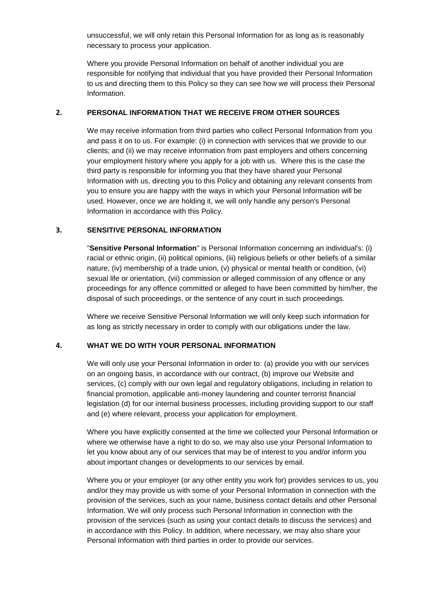unsuccessful, we will only retain this Personal Information for as long as is reasonably necessary to process your application.

Where you provide Personal Information on behalf of another individual you are responsible for notifying that individual that you have provided their Personal Information to us and directing them to this Policy so they can see how we will process their Personal Information.

#### **2. PERSONAL INFORMATION THAT WE RECEIVE FROM OTHER SOURCES**

We may receive information from third parties who collect Personal Information from you and pass it on to us. For example: (i) in connection with services that we provide to our clients; and (ii) we may receive information from past employers and others concerning your employment history where you apply for a job with us. Where this is the case the third party is responsible for informing you that they have shared your Personal Information with us, directing you to this Policy and obtaining any relevant consents from you to ensure you are happy with the ways in which your Personal Information will be used. However, once we are holding it, we will only handle any person's Personal Information in accordance with this Policy.

#### **3. SENSITIVE PERSONAL INFORMATION**

"**Sensitive Personal Information**" is Personal Information concerning an individual's: (i) racial or ethnic origin, (ii) political opinions, (iii) religious beliefs or other beliefs of a similar nature, (iv) membership of a trade union, (v) physical or mental health or condition, (vi) sexual life or orientation, (vii) commission or alleged commission of any offence or any proceedings for any offence committed or alleged to have been committed by him/her, the disposal of such proceedings, or the sentence of any court in such proceedings.

Where we receive Sensitive Personal Information we will only keep such information for as long as strictly necessary in order to comply with our obligations under the law.

#### **4. WHAT WE DO WITH YOUR PERSONAL INFORMATION**

We will only use your Personal Information in order to: (a) provide you with our services on an ongoing basis, in accordance with our contract, (b) improve our Website and services, (c) comply with our own legal and regulatory obligations, including in relation to financial promotion, applicable anti-money laundering and counter terrorist financial legislation (d) for our internal business processes, including providing support to our staff and (e) where relevant, process your application for employment.

Where you have explicitly consented at the time we collected your Personal Information or where we otherwise have a right to do so, we may also use your Personal Information to let you know about any of our services that may be of interest to you and/or inform you about important changes or developments to our services by email.

Where you or your employer (or any other entity you work for) provides services to us, you and/or they may provide us with some of your Personal Information in connection with the provision of the services, such as your name, business contact details and other Personal Information. We will only process such Personal Information in connection with the provision of the services (such as using your contact details to discuss the services) and in accordance with this Policy. In addition, where necessary, we may also share your Personal Information with third parties in order to provide our services.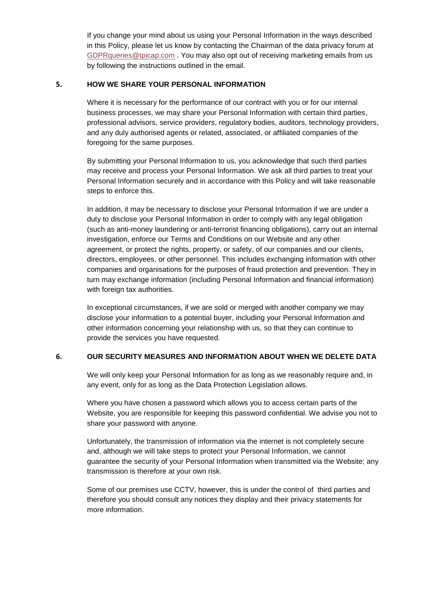If you change your mind about us using your Personal Information in the ways described in this Policy, please let us know by contacting the Chairman of the data privacy forum at [GDPRqueries@tpicap.com](mailto:GDPRqueries@tpicap.com) . You may also opt out of receiving marketing emails from us by following the instructions outlined in the email.

## **5. HOW WE SHARE YOUR PERSONAL INFORMATION**

Where it is necessary for the performance of our contract with you or for our internal business processes, we may share your Personal Information with certain third parties, professional advisors, service providers, regulatory bodies, auditors, technology providers, and any duly authorised agents or related, associated, or affiliated companies of the foregoing for the same purposes.

By submitting your Personal Information to us, you acknowledge that such third parties may receive and process your Personal Information. We ask all third parties to treat your Personal Information securely and in accordance with this Policy and will take reasonable steps to enforce this.

In addition, it may be necessary to disclose your Personal Information if we are under a duty to disclose your Personal Information in order to comply with any legal obligation (such as anti-money laundering or anti-terrorist financing obligations), carry out an internal investigation, enforce our Terms and Conditions on our Website and any other agreement, or protect the rights, property, or safety, of our companies and our clients, directors, employees, or other personnel. This includes exchanging information with other companies and organisations for the purposes of fraud protection and prevention. They in turn may exchange information (including Personal Information and financial information) with foreign tax authorities.

In exceptional circumstances, if we are sold or merged with another company we may disclose your information to a potential buyer, including your Personal Information and other information concerning your relationship with us, so that they can continue to provide the services you have requested.

# **6. OUR SECURITY MEASURES AND INFORMATION ABOUT WHEN WE DELETE DATA**

We will only keep your Personal Information for as long as we reasonably require and, in any event, only for as long as the Data Protection Legislation allows.

Where you have chosen a password which allows you to access certain parts of the Website, you are responsible for keeping this password confidential. We advise you not to share your password with anyone.

Unfortunately, the transmission of information via the internet is not completely secure and, although we will take steps to protect your Personal Information, we cannot guarantee the security of your Personal Information when transmitted via the Website; any transmission is therefore at your own risk.

Some of our premises use CCTV, however, this is under the control of third parties and therefore you should consult any notices they display and their privacy statements for more information.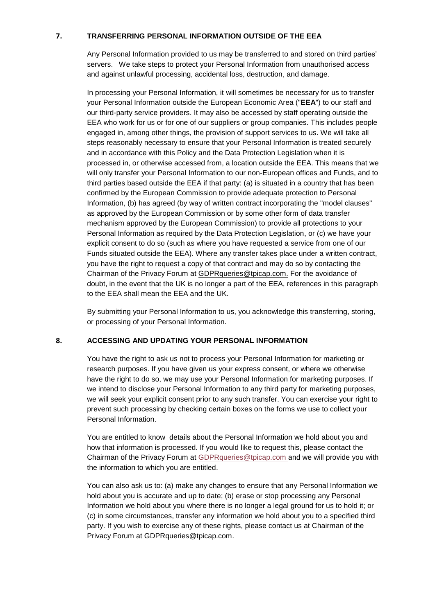# **7. TRANSFERRING PERSONAL INFORMATION OUTSIDE OF THE EEA**

Any Personal Information provided to us may be transferred to and stored on third parties' servers. We take steps to protect your Personal Information from unauthorised access and against unlawful processing, accidental loss, destruction, and damage.

In processing your Personal Information, it will sometimes be necessary for us to transfer your Personal Information outside the European Economic Area ("**EEA**") to our staff and our third-party service providers. It may also be accessed by staff operating outside the EEA who work for us or for one of our suppliers or group companies. This includes people engaged in, among other things, the provision of support services to us. We will take all steps reasonably necessary to ensure that your Personal Information is treated securely and in accordance with this Policy and the Data Protection Legislation when it is processed in, or otherwise accessed from, a location outside the EEA. This means that we will only transfer your Personal Information to our non-European offices and Funds, and to third parties based outside the EEA if that party: (a) is situated in a country that has been confirmed by the European Commission to provide adequate protection to Personal Information, (b) has agreed (by way of written contract incorporating the "model clauses" as approved by the European Commission or by some other form of data transfer mechanism approved by the European Commission) to provide all protections to your Personal Information as required by the Data Protection Legislation, or (c) we have your explicit consent to do so (such as where you have requested a service from one of our Funds situated outside the EEA). Where any transfer takes place under a written contract, you have the right to request a copy of that contract and may do so by contacting the Chairman of the Privacy Forum at GDPRqueries@tpicap.com. For the avoidance of doubt, in the event that the UK is no longer a part of the EEA, references in this paragraph to the EEA shall mean the EEA and the UK.

By submitting your Personal Information to us, you acknowledge this transferring, storing, or processing of your Personal Information.

# **8. ACCESSING AND UPDATING YOUR PERSONAL INFORMATION**

You have the right to ask us not to process your Personal Information for marketing or research purposes. If you have given us your express consent, or where we otherwise have the right to do so, we may use your Personal Information for marketing purposes. If we intend to disclose your Personal Information to any third party for marketing purposes, we will seek your explicit consent prior to any such transfer. You can exercise your right to prevent such processing by checking certain boxes on the forms we use to collect your Personal Information.

You are entitled to know details about the Personal Information we hold about you and how that information is processed. If you would like to request this, please contact the Chairman of the Privacy Forum at [GDPRqueries@tpicap.com](mailto:GDPRqueries@tpicap.com) and we will provide you with the information to which you are entitled.

You can also ask us to: (a) make any changes to ensure that any Personal Information we hold about you is accurate and up to date; (b) erase or stop processing any Personal Information we hold about you where there is no longer a legal ground for us to hold it; or (c) in some circumstances, transfer any information we hold about you to a specified third party. If you wish to exercise any of these rights, please contact us at Chairman of the Privacy Forum at GDPRqueries@tpicap.com.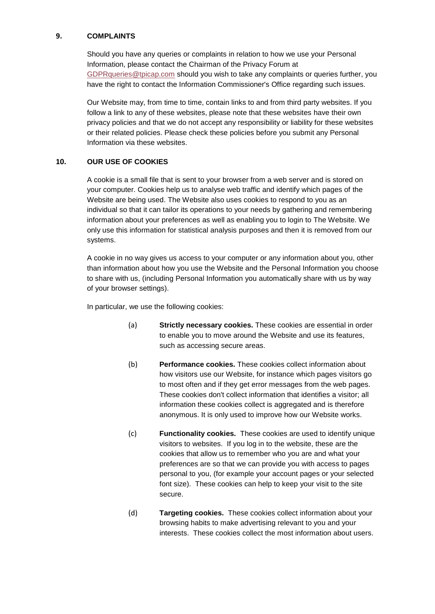# **9. COMPLAINTS**

Should you have any queries or complaints in relation to how we use your Personal Information, please contact the Chairman of the Privacy Forum at [GDPRqueries@tpicap.com](mailto:GDPRqueries@tpicap.com) should you wish to take any complaints or queries further, you have the right to contact the Information Commissioner's Office regarding such issues.

Our Website may, from time to time, contain links to and from third party websites. If you follow a link to any of these websites, please note that these websites have their own privacy policies and that we do not accept any responsibility or liability for these websites or their related policies. Please check these policies before you submit any Personal Information via these websites.

# **10. OUR USE OF COOKIES**

A cookie is a small file that is sent to your browser from a web server and is stored on your computer. Cookies help us to analyse web traffic and identify which pages of the Website are being used. The Website also uses cookies to respond to you as an individual so that it can tailor its operations to your needs by gathering and remembering information about your preferences as well as enabling you to login to The Website. We only use this information for statistical analysis purposes and then it is removed from our systems.

A cookie in no way gives us access to your computer or any information about you, other than information about how you use the Website and the Personal Information you choose to share with us, (including Personal Information you automatically share with us by way of your browser settings).

In particular, we use the following cookies:

- (a) **Strictly necessary cookies.** These cookies are essential in order to enable you to move around the Website and use its features, such as accessing secure areas.
- (b) **Performance cookies.** These cookies collect information about how visitors use our Website, for instance which pages visitors go to most often and if they get error messages from the web pages. These cookies don't collect information that identifies a visitor; all information these cookies collect is aggregated and is therefore anonymous. It is only used to improve how our Website works.
- (c) **Functionality cookies.** These cookies are used to identify unique visitors to websites. If you log in to the website, these are the cookies that allow us to remember who you are and what your preferences are so that we can provide you with access to pages personal to you, (for example your account pages or your selected font size). These cookies can help to keep your visit to the site secure.
- (d) **Targeting cookies.** These cookies collect information about your browsing habits to make advertising relevant to you and your interests. These cookies collect the most information about users.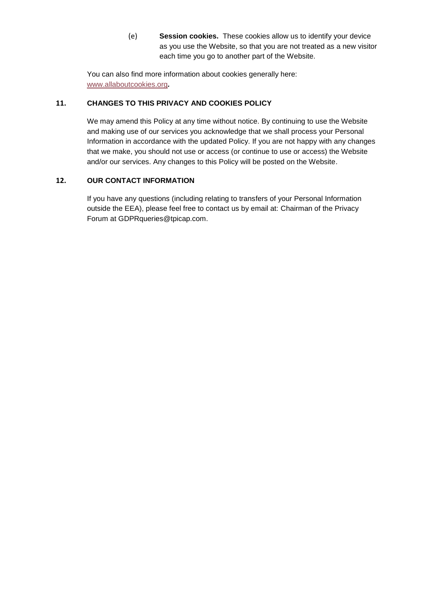(e) **Session cookies.** These cookies allow us to identify your device as you use the Website, so that you are not treated as a new visitor each time you go to another part of the Website.

You can also find more information about cookies generally here: [www.allaboutcookies.org](file:///C:/Users/jf2/AppData/Roaming/OpenText/DM/Temp/www.allaboutcookies.org)*.*

# **11. CHANGES TO THIS PRIVACY AND COOKIES POLICY**

We may amend this Policy at any time without notice. By continuing to use the Website and making use of our services you acknowledge that we shall process your Personal Information in accordance with the updated Policy. If you are not happy with any changes that we make, you should not use or access (or continue to use or access) the Website and/or our services. Any changes to this Policy will be posted on the Website.

# **12. OUR CONTACT INFORMATION**

If you have any questions (including relating to transfers of your Personal Information outside the EEA), please feel free to contact us by email at: Chairman of the Privacy Forum at GDPRqueries@tpicap.com.